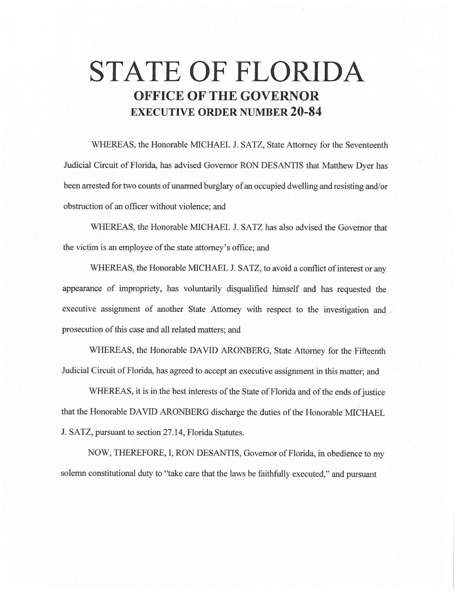# **STATE OF FLORIDA OFFICE OF THE GOVERNOR EXECUTIVE ORDER NUMBER 20-84**

WHEREAS, the Honorable MICHAEL J. SATZ, State Attorney for the Seventeenth Judicial Circuit of Florida, has advised Governor RON DESANTIS that Matthew Dyer has been arrested for two counts of unarmed burglary of an occupied dwelling and resisting and/or obstruction of an officer without violence; and

WHEREAS, the Honorable MICHAEL J. SATZ has also advised the Governor that the victim is an employee of the state attorney's office; and

WHEREAS, the Honorable MICHAEL J. SATZ, to avoid a conflict of interest or any appearance of impropriety, has voluntarily disqualified himself and has requested the executive assignment of another State Attorney with respect to the investigation and prosecution of this case and all related matters; and

WHEREAS, the Honorable DAVID ARONBERG, State Attorney for the Fifteenth Judicial Circuit of Florida, has agreed to accept an executive assignment in this matter; and

WHEREAS, it is in the best interests of the State of Florida and of the ends of justice that the Honorable DAVID ARONBERG discharge the duties of the Honorable MICHAEL J. SATZ, pursuant to section 27.14, Florida Statutes.

NOW, THEREFORE, I, RON DESANTIS, Governor of Florida, in obedience to my solemn constitutional duty to "take care that the laws be faithfully executed," and pursuant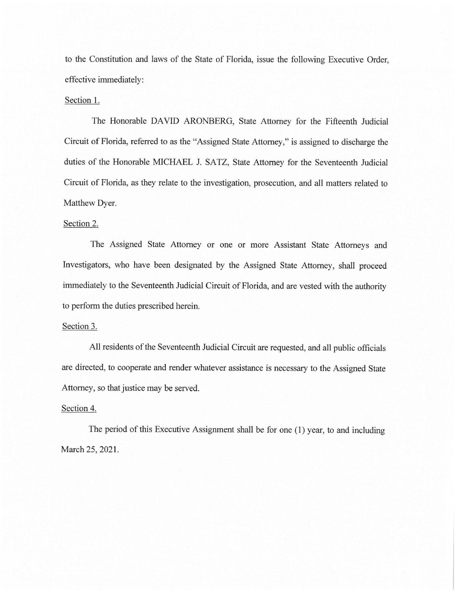to the Constitution and laws of the State of Florida, issue the following Executive Order, effective immediately:

#### Section 1.

The Honorable DAVID ARONBERG, State Attorney for the Fifteenth Judicial Circuit of Florida, referred to as the "Assigned State Attorney," is assigned to discharge the duties of the Honorable MICHAEL J. SATZ, State Attorney for the Seventeenth Judicial Circuit of Florida, as they relate to the investigation, prosecution, and all matters related to Matthew Dyer.

## Section 2.

The Assigned State Attorney or one or more Assistant State Attorneys and Investigators, who have been designated by the Assigned State Attorney, shall proceed immediately to the Seventeenth Judicial Circuit of Florida, and are vested with the authority to perform the duties prescribed herein.

## Section 3.

All residents of the Seventeenth Judicial Circuit are requested, and all public officials are directed, to cooperate and render whatever assistance is necessary to the Assigned State Attorney, so that justice may be served.

## Section 4.

The period of this Executive Assignment shall be for one (1) year, to and including March 25, 2021.